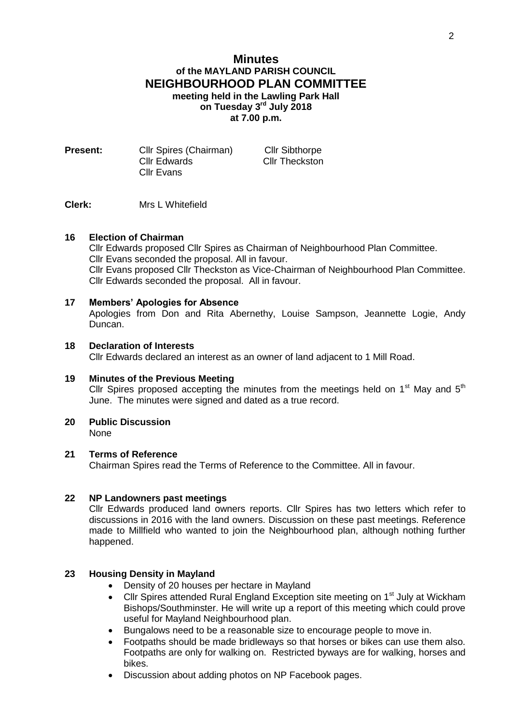# **Minutes of the MAYLAND PARISH COUNCIL NEIGHBOURHOOD PLAN COMMITTEE meeting held in the Lawling Park Hall on Tuesday 3 rd July 2018 at 7.00 p.m.**

| Cllr Spires (Chairman) | <b>Cllr Sibthorpe</b> |
|------------------------|-----------------------|
| Cllr Edwards           | <b>Cllr Theckston</b> |
| Cllr Evans             |                       |
|                        |                       |

**Clerk:** Mrs L Whitefield

#### **16 Election of Chairman**

Cllr Edwards proposed Cllr Spires as Chairman of Neighbourhood Plan Committee. Cllr Evans seconded the proposal. All in favour. Cllr Evans proposed Cllr Theckston as Vice-Chairman of Neighbourhood Plan Committee. Cllr Edwards seconded the proposal. All in favour.

### **17 Members' Apologies for Absence**

Apologies from Don and Rita Abernethy, Louise Sampson, Jeannette Logie, Andy Duncan.

### **18 Declaration of Interests**

Cllr Edwards declared an interest as an owner of land adjacent to 1 Mill Road.

#### **19 Minutes of the Previous Meeting**

Cllr Spires proposed accepting the minutes from the meetings held on  $1<sup>st</sup>$  May and  $5<sup>th</sup>$ June. The minutes were signed and dated as a true record.

**20 Public Discussion**

None

#### **21 Terms of Reference**

Chairman Spires read the Terms of Reference to the Committee. All in favour.

#### **22 NP Landowners past meetings**

Cllr Edwards produced land owners reports. Cllr Spires has two letters which refer to discussions in 2016 with the land owners. Discussion on these past meetings. Reference made to Millfield who wanted to join the Neighbourhood plan, although nothing further happened.

## **23 Housing Density in Mayland**

- Density of 20 houses per hectare in Mayland
- Cllr Spires attended Rural England Exception site meeting on 1<sup>st</sup> July at Wickham Bishops/Southminster. He will write up a report of this meeting which could prove useful for Mayland Neighbourhood plan.
- Bungalows need to be a reasonable size to encourage people to move in.
- Footpaths should be made bridleways so that horses or bikes can use them also. Footpaths are only for walking on. Restricted byways are for walking, horses and bikes.
- Discussion about adding photos on NP Facebook pages.